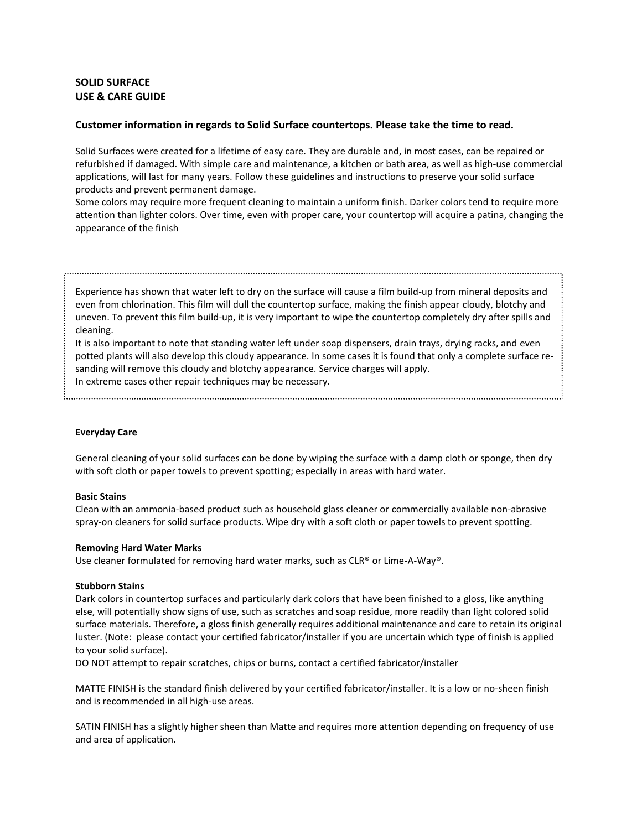# **SOLID SURFACE USE & CARE GUIDE**

## **Customer information in regards to Solid Surface countertops. Please take the time to read.**

Solid Surfaces were created for a lifetime of easy care. They are durable and, in most cases, can be repaired or refurbished if damaged. With simple care and maintenance, a kitchen or bath area, as well as high-use commercial applications, will last for many years. Follow these guidelines and instructions to preserve your solid surface products and prevent permanent damage.

Some colors may require more frequent cleaning to maintain a uniform finish. Darker colors tend to require more attention than lighter colors. Over time, even with proper care, your countertop will acquire a patina, changing the appearance of the finish

Experience has shown that water left to dry on the surface will cause a film build-up from mineral deposits and even from chlorination. This film will dull the countertop surface, making the finish appear cloudy, blotchy and uneven. To prevent this film build-up, it is very important to wipe the countertop completely dry after spills and cleaning.

It is also important to note that standing water left under soap dispensers, drain trays, drying racks, and even potted plants will also develop this cloudy appearance. In some cases it is found that only a complete surface resanding will remove this cloudy and blotchy appearance. Service charges will apply.

In extreme cases other repair techniques may be necessary.

#### **Everyday Care**

General cleaning of your solid surfaces can be done by wiping the surface with a damp cloth or sponge, then dry with soft cloth or paper towels to prevent spotting; especially in areas with hard water.

# **Basic Stains**

Clean with an ammonia-based product such as household glass cleaner or commercially available non-abrasive spray-on cleaners for solid surface products. Wipe dry with a soft cloth or paper towels to prevent spotting.

#### **Removing Hard Water Marks**

Use cleaner formulated for removing hard water marks, such as CLR® or Lime-A-Way®.

#### **Stubborn Stains**

Dark colors in countertop surfaces and particularly dark colors that have been finished to a gloss, like anything else, will potentially show signs of use, such as scratches and soap residue, more readily than light colored solid surface materials. Therefore, a gloss finish generally requires additional maintenance and care to retain its original luster. (Note: please contact your certified fabricator/installer if you are uncertain which type of finish is applied to your solid surface).

DO NOT attempt to repair scratches, chips or burns, contact a certified fabricator/installer

MATTE FINISH is the standard finish delivered by your certified fabricator/installer. It is a low or no-sheen finish and is recommended in all high-use areas.

SATIN FINISH has a slightly higher sheen than Matte and requires more attention depending on frequency of use and area of application.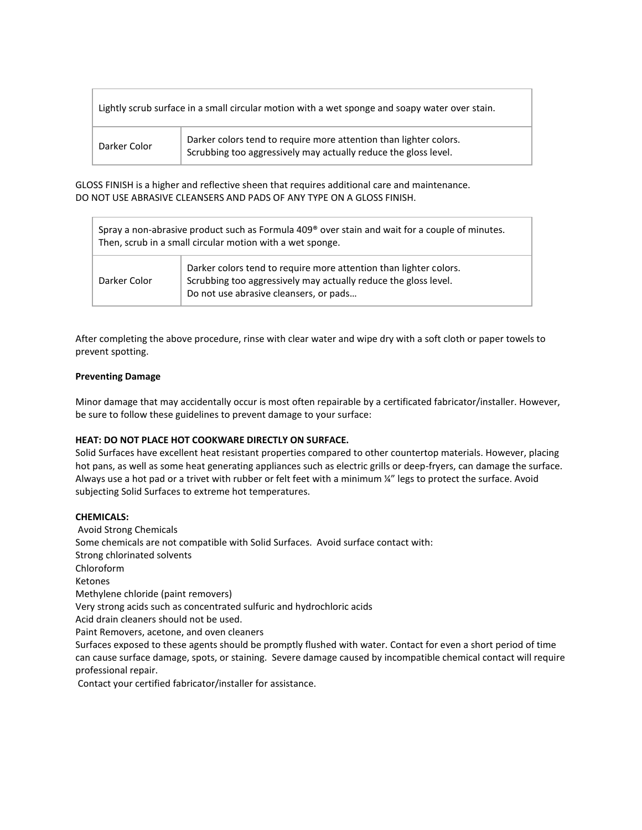| Lightly scrub surface in a small circular motion with a wet sponge and soapy water over stain. |                                                                                                                                      |
|------------------------------------------------------------------------------------------------|--------------------------------------------------------------------------------------------------------------------------------------|
| Darker Color                                                                                   | Darker colors tend to require more attention than lighter colors.<br>Scrubbing too aggressively may actually reduce the gloss level. |

GLOSS FINISH is a higher and reflective sheen that requires additional care and maintenance. DO NOT USE ABRASIVE CLEANSERS AND PADS OF ANY TYPE ON A GLOSS FINISH.

| Spray a non-abrasive product such as Formula 409 <sup>®</sup> over stain and wait for a couple of minutes.<br>Then, scrub in a small circular motion with a wet sponge. |                                                                                                                                                                                |
|-------------------------------------------------------------------------------------------------------------------------------------------------------------------------|--------------------------------------------------------------------------------------------------------------------------------------------------------------------------------|
| Darker Color                                                                                                                                                            | Darker colors tend to require more attention than lighter colors.<br>Scrubbing too aggressively may actually reduce the gloss level.<br>Do not use abrasive cleansers, or pads |

After completing the above procedure, rinse with clear water and wipe dry with a soft cloth or paper towels to prevent spotting.

#### **Preventing Damage**

Minor damage that may accidentally occur is most often repairable by a certificated fabricator/installer. However, be sure to follow these guidelines to prevent damage to your surface:

# **HEAT: DO NOT PLACE HOT COOKWARE DIRECTLY ON SURFACE.**

Solid Surfaces have excellent heat resistant properties compared to other countertop materials. However, placing hot pans, as well as some heat generating appliances such as electric grills or deep-fryers, can damage the surface. Always use a hot pad or a trivet with rubber or felt feet with a minimum ¼" legs to protect the surface. Avoid subjecting Solid Surfaces to extreme hot temperatures.

#### **CHEMICALS:**

Avoid Strong Chemicals Some chemicals are not compatible with Solid Surfaces. Avoid surface contact with: Strong chlorinated solvents Chloroform Ketones Methylene chloride (paint removers) Very strong acids such as concentrated sulfuric and hydrochloric acids Acid drain cleaners should not be used. Paint Removers, acetone, and oven cleaners Surfaces exposed to these agents should be promptly flushed with water. Contact for even a short period of time can cause surface damage, spots, or staining. Severe damage caused by incompatible chemical contact will require professional repair.

Contact your certified fabricator/installer for assistance.